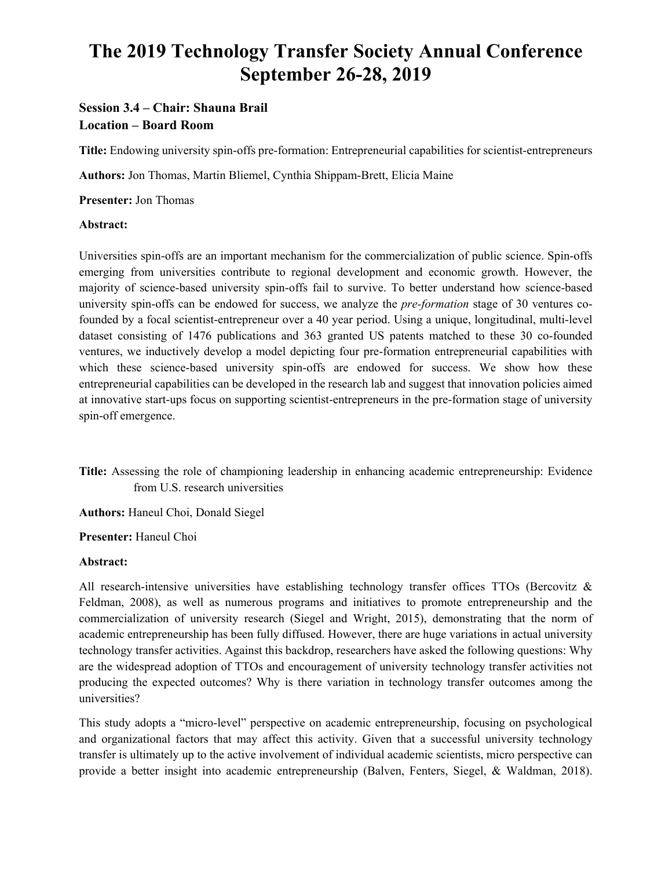# **The 2019 Technology Transfer Society Annual Conference September 26-28, 2019**

# **Session 3.4 – Chair: Shauna Brail Location – Board Room**

**Title:** Endowing university spin-offs pre-formation: Entrepreneurial capabilities for scientist-entrepreneurs

**Authors:** Jon Thomas, Martin Bliemel, Cynthia Shippam-Brett, Elicia Maine

**Presenter:** Jon Thomas

#### **Abstract:**

Universities spin-offs are an important mechanism for the commercialization of public science. Spin-offs emerging from universities contribute to regional development and economic growth. However, the majority of science-based university spin-offs fail to survive. To better understand how science-based university spin-offs can be endowed for success, we analyze the *pre-formation* stage of 30 ventures cofounded by a focal scientist-entrepreneur over a 40 year period. Using a unique, longitudinal, multi-level dataset consisting of 1476 publications and 363 granted US patents matched to these 30 co-founded ventures, we inductively develop a model depicting four pre-formation entrepreneurial capabilities with which these science-based university spin-offs are endowed for success. We show how these entrepreneurial capabilities can be developed in the research lab and suggest that innovation policies aimed at innovative start-ups focus on supporting scientist-entrepreneurs in the pre-formation stage of university spin-off emergence.

**Title:** Assessing the role of championing leadership in enhancing academic entrepreneurship: Evidence from U.S. research universities

**Authors:** Haneul Choi, Donald Siegel

**Presenter:** Haneul Choi

#### **Abstract:**

All research-intensive universities have establishing technology transfer offices TTOs (Bercovitz & Feldman, 2008), as well as numerous programs and initiatives to promote entrepreneurship and the commercialization of university research (Siegel and Wright, 2015), demonstrating that the norm of academic entrepreneurship has been fully diffused. However, there are huge variations in actual university technology transfer activities. Against this backdrop, researchers have asked the following questions: Why are the widespread adoption of TTOs and encouragement of university technology transfer activities not producing the expected outcomes? Why is there variation in technology transfer outcomes among the universities?

This study adopts a "micro-level" perspective on academic entrepreneurship, focusing on psychological and organizational factors that may affect this activity. Given that a successful university technology transfer is ultimately up to the active involvement of individual academic scientists, micro perspective can provide a better insight into academic entrepreneurship (Balven, Fenters, Siegel, & Waldman, 2018).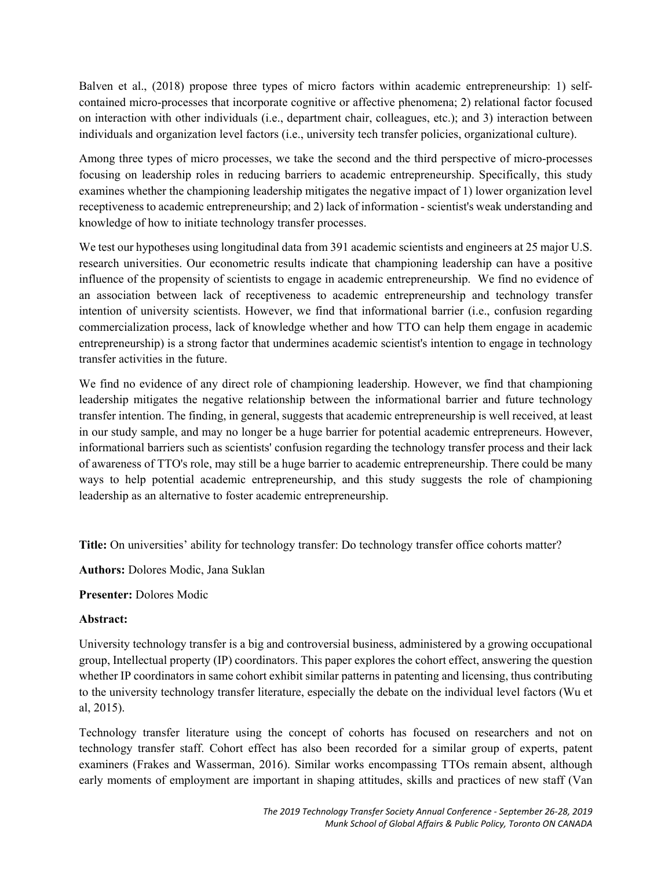Balven et al., (2018) propose three types of micro factors within academic entrepreneurship: 1) selfcontained micro-processes that incorporate cognitive or affective phenomena; 2) relational factor focused on interaction with other individuals (i.e., department chair, colleagues, etc.); and 3) interaction between individuals and organization level factors (i.e., university tech transfer policies, organizational culture).

Among three types of micro processes, we take the second and the third perspective of micro-processes focusing on leadership roles in reducing barriers to academic entrepreneurship. Specifically, this study examines whether the championing leadership mitigates the negative impact of 1) lower organization level receptiveness to academic entrepreneurship; and 2) lack of information - scientist's weak understanding and knowledge of how to initiate technology transfer processes.

We test our hypotheses using longitudinal data from 391 academic scientists and engineers at 25 major U.S. research universities. Our econometric results indicate that championing leadership can have a positive influence of the propensity of scientists to engage in academic entrepreneurship. We find no evidence of an association between lack of receptiveness to academic entrepreneurship and technology transfer intention of university scientists. However, we find that informational barrier (i.e., confusion regarding commercialization process, lack of knowledge whether and how TTO can help them engage in academic entrepreneurship) is a strong factor that undermines academic scientist's intention to engage in technology transfer activities in the future.

We find no evidence of any direct role of championing leadership. However, we find that championing leadership mitigates the negative relationship between the informational barrier and future technology transfer intention. The finding, in general, suggests that academic entrepreneurship is well received, at least in our study sample, and may no longer be a huge barrier for potential academic entrepreneurs. However, informational barriers such as scientists' confusion regarding the technology transfer process and their lack of awareness of TTO's role, may still be a huge barrier to academic entrepreneurship. There could be many ways to help potential academic entrepreneurship, and this study suggests the role of championing leadership as an alternative to foster academic entrepreneurship.

**Title:** On universities' ability for technology transfer: Do technology transfer office cohorts matter?

**Authors:** Dolores Modic, Jana Suklan

# **Presenter:** Dolores Modic

# **Abstract:**

University technology transfer is a big and controversial business, administered by a growing occupational group, Intellectual property (IP) coordinators. This paper explores the cohort effect, answering the question whether IP coordinators in same cohort exhibit similar patterns in patenting and licensing, thus contributing to the university technology transfer literature, especially the debate on the individual level factors (Wu et al, 2015).

Technology transfer literature using the concept of cohorts has focused on researchers and not on technology transfer staff. Cohort effect has also been recorded for a similar group of experts, patent examiners (Frakes and Wasserman, 2016). Similar works encompassing TTOs remain absent, although early moments of employment are important in shaping attitudes, skills and practices of new staff (Van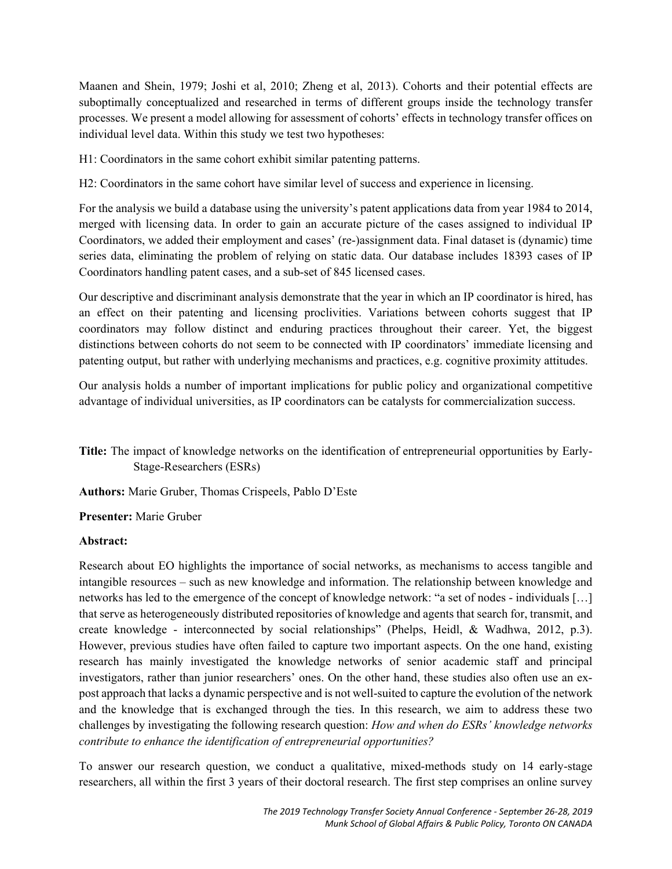Maanen and Shein, 1979; Joshi et al, 2010; Zheng et al, 2013). Cohorts and their potential effects are suboptimally conceptualized and researched in terms of different groups inside the technology transfer processes. We present a model allowing for assessment of cohorts' effects in technology transfer offices on individual level data. Within this study we test two hypotheses:

H1: Coordinators in the same cohort exhibit similar patenting patterns.

H2: Coordinators in the same cohort have similar level of success and experience in licensing.

For the analysis we build a database using the university's patent applications data from year 1984 to 2014, merged with licensing data. In order to gain an accurate picture of the cases assigned to individual IP Coordinators, we added their employment and cases' (re-)assignment data. Final dataset is (dynamic) time series data, eliminating the problem of relying on static data. Our database includes 18393 cases of IP Coordinators handling patent cases, and a sub-set of 845 licensed cases.

Our descriptive and discriminant analysis demonstrate that the year in which an IP coordinator is hired, has an effect on their patenting and licensing proclivities. Variations between cohorts suggest that IP coordinators may follow distinct and enduring practices throughout their career. Yet, the biggest distinctions between cohorts do not seem to be connected with IP coordinators' immediate licensing and patenting output, but rather with underlying mechanisms and practices, e.g. cognitive proximity attitudes.

Our analysis holds a number of important implications for public policy and organizational competitive advantage of individual universities, as IP coordinators can be catalysts for commercialization success.

**Title:** The impact of knowledge networks on the identification of entrepreneurial opportunities by Early-Stage-Researchers (ESRs)

**Authors:** Marie Gruber, Thomas Crispeels, Pablo D'Este

**Presenter:** Marie Gruber

# **Abstract:**

Research about EO highlights the importance of social networks, as mechanisms to access tangible and intangible resources – such as new knowledge and information. The relationship between knowledge and networks has led to the emergence of the concept of knowledge network: "a set of nodes - individuals […] that serve as heterogeneously distributed repositories of knowledge and agents that search for, transmit, and create knowledge - interconnected by social relationships" (Phelps, Heidl, & Wadhwa, 2012, p.3). However, previous studies have often failed to capture two important aspects. On the one hand, existing research has mainly investigated the knowledge networks of senior academic staff and principal investigators, rather than junior researchers' ones. On the other hand, these studies also often use an expost approach that lacks a dynamic perspective and is not well-suited to capture the evolution of the network and the knowledge that is exchanged through the ties. In this research, we aim to address these two challenges by investigating the following research question: *How and when do ESRs' knowledge networks contribute to enhance the identification of entrepreneurial opportunities?* 

To answer our research question, we conduct a qualitative, mixed-methods study on 14 early-stage researchers, all within the first 3 years of their doctoral research. The first step comprises an online survey